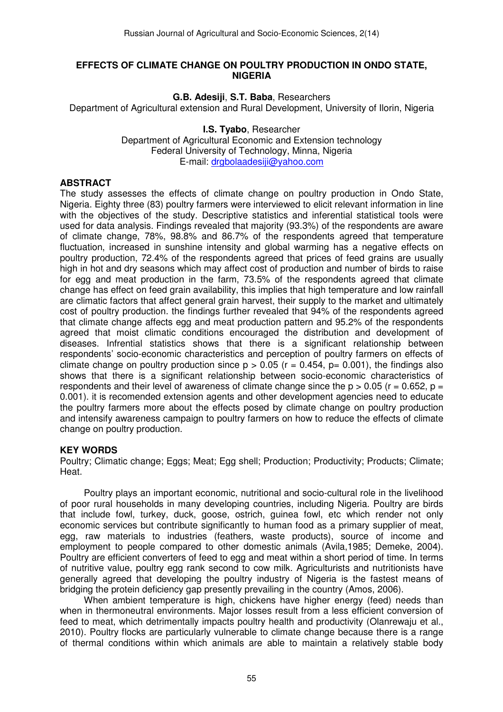#### **EFFECTS OF CLIMATE CHANGE ON POULTRY PRODUCTION IN ONDO STATE, NIGERIA**

**G.B. Adesiji**, **S.T. Baba**, Researchers

Department of Agricultural extension and Rural Development, University of Ilorin, Nigeria

**I.S. Tyabo**, Researcher Department of Agricultural Economic and Extension technology Federal University of Technology, Minna, Nigeria E-mail: drgbolaadesiji@yahoo.com

### **ABSTRACT**

The study assesses the effects of climate change on poultry production in Ondo State, Nigeria. Eighty three (83) poultry farmers were interviewed to elicit relevant information in line with the objectives of the study. Descriptive statistics and inferential statistical tools were used for data analysis. Findings revealed that majority (93.3%) of the respondents are aware of climate change, 78%, 98.8% and 86.7% of the respondents agreed that temperature fluctuation, increased in sunshine intensity and global warming has a negative effects on poultry production, 72.4% of the respondents agreed that prices of feed grains are usually high in hot and dry seasons which may affect cost of production and number of birds to raise for egg and meat production in the farm, 73.5% of the respondents agreed that climate change has effect on feed grain availability, this implies that high temperature and low rainfall are climatic factors that affect general grain harvest, their supply to the market and ultimately cost of poultry production. the findings further revealed that 94% of the respondents agreed that climate change affects egg and meat production pattern and 95.2% of the respondents agreed that moist climatic conditions encouraged the distribution and development of diseases. Infrential statistics shows that there is a significant relationship between respondents' socio-economic characteristics and perception of poultry farmers on effects of climate change on poultry production since  $p > 0.05$  ( $r = 0.454$ ,  $p = 0.001$ ), the findings also shows that there is a significant relationship between socio-economic characteristics of respondents and their level of awareness of climate change since the  $p > 0.05$  (r = 0.652, p = 0.001). it is recomended extension agents and other development agencies need to educate the poultry farmers more about the effects posed by climate change on poultry production and intensify awareness campaign to poultry farmers on how to reduce the effects of climate change on poultry production.

# **KEY WORDS**

Poultry; Climatic change; Eggs; Meat; Egg shell; Production; Productivity; Products; Climate; Heat.

Poultry plays an important economic, nutritional and socio-cultural role in the livelihood of poor rural households in many developing countries, including Nigeria. Poultry are birds that include fowl, turkey, duck, goose, ostrich, guinea fowl, etc which render not only economic services but contribute significantly to human food as a primary supplier of meat, egg, raw materials to industries (feathers, waste products), source of income and employment to people compared to other domestic animals (Avila,1985; Demeke, 2004). Poultry are efficient converters of feed to egg and meat within a short period of time. In terms of nutritive value, poultry egg rank second to cow milk. Agriculturists and nutritionists have generally agreed that developing the poultry industry of Nigeria is the fastest means of bridging the protein deficiency gap presently prevailing in the country (Amos, 2006).

When ambient temperature is high, chickens have higher energy (feed) needs than when in thermoneutral environments. Major losses result from a less efficient conversion of feed to meat, which detrimentally impacts poultry health and productivity (Olanrewaju et al., 2010). Poultry flocks are particularly vulnerable to climate change because there is a range of thermal conditions within which animals are able to maintain a relatively stable body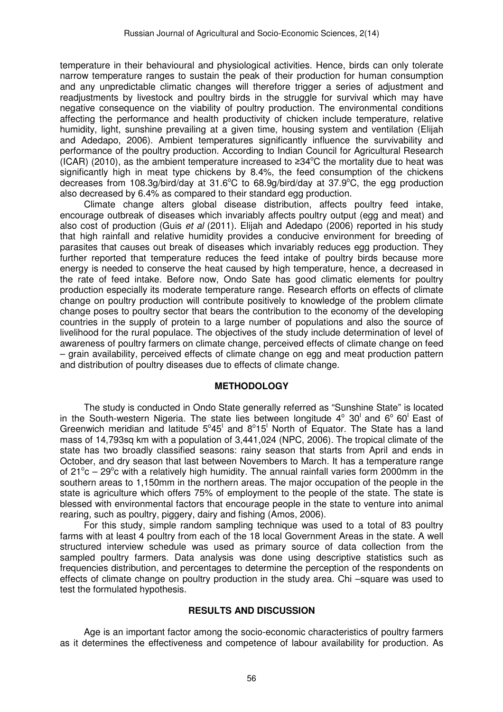temperature in their behavioural and physiological activities. Hence, birds can only tolerate narrow temperature ranges to sustain the peak of their production for human consumption and any unpredictable climatic changes will therefore trigger a series of adjustment and readjustments by livestock and poultry birds in the struggle for survival which may have negative consequence on the viability of poultry production. The environmental conditions affecting the performance and health productivity of chicken include temperature, relative humidity, light, sunshine prevailing at a given time, housing system and ventilation (Elijah and Adedapo, 2006). Ambient temperatures significantly influence the survivability and performance of the poultry production. According to Indian Council for Agricultural Research (ICAR) (2010), as the ambient temperature increased to  $\geq 34^{\circ}$ C the mortality due to heat was significantly high in meat type chickens by 8.4%, the feed consumption of the chickens decreases from 108.3g/bird/day at 31.6<sup>o</sup>C to 68.9g/bird/day at 37.9<sup>o</sup>C, the egg production also decreased by 6.4% as compared to their standard egg production.

Climate change alters global disease distribution, affects poultry feed intake, encourage outbreak of diseases which invariably affects poultry output (egg and meat) and also cost of production (Guis et al (2011). Elijah and Adedapo (2006) reported in his study that high rainfall and relative humidity provides a conducive environment for breeding of parasites that causes out break of diseases which invariably reduces egg production. They further reported that temperature reduces the feed intake of poultry birds because more energy is needed to conserve the heat caused by high temperature, hence, a decreased in the rate of feed intake. Before now, Ondo Sate has good climatic elements for poultry production especially its moderate temperature range. Research efforts on effects of climate change on poultry production will contribute positively to knowledge of the problem climate change poses to poultry sector that bears the contribution to the economy of the developing countries in the supply of protein to a large number of populations and also the source of livelihood for the rural populace. The objectives of the study include determination of level of awareness of poultry farmers on climate change, perceived effects of climate change on feed – grain availability, perceived effects of climate change on egg and meat production pattern and distribution of poultry diseases due to effects of climate change.

# **METHODOLOGY**

The study is conducted in Ondo State generally referred as "Sunshine State" is located in the South-western Nigeria. The state lies between longitude  $4^{\circ}$  30<sup>1</sup> and 6<sup>°</sup> 60<sup>1</sup> East of Greenwich meridian and latitude  $5^{\circ}45^{\prime}$  and  $8^{\circ}15^{\prime}$  North of Equator. The State has a land mass of 14,793sq km with a population of 3,441,024 (NPC, 2006). The tropical climate of the state has two broadly classified seasons: rainy season that starts from April and ends in October, and dry season that last between Novembers to March. It has a temperature range of 21°c – 29°c with a relatively high humidity. The annual rainfall varies form 2000mm in the southern areas to 1,150mm in the northern areas. The major occupation of the people in the state is agriculture which offers 75% of employment to the people of the state. The state is blessed with environmental factors that encourage people in the state to venture into animal rearing, such as poultry, piggery, dairy and fishing (Amos, 2006).

For this study, simple random sampling technique was used to a total of 83 poultry farms with at least 4 poultry from each of the 18 local Government Areas in the state. A well structured interview schedule was used as primary source of data collection from the sampled poultry farmers. Data analysis was done using descriptive statistics such as frequencies distribution, and percentages to determine the perception of the respondents on effects of climate change on poultry production in the study area. Chi –square was used to test the formulated hypothesis.

#### **RESULTS AND DISCUSSION**

Age is an important factor among the socio-economic characteristics of poultry farmers as it determines the effectiveness and competence of labour availability for production. As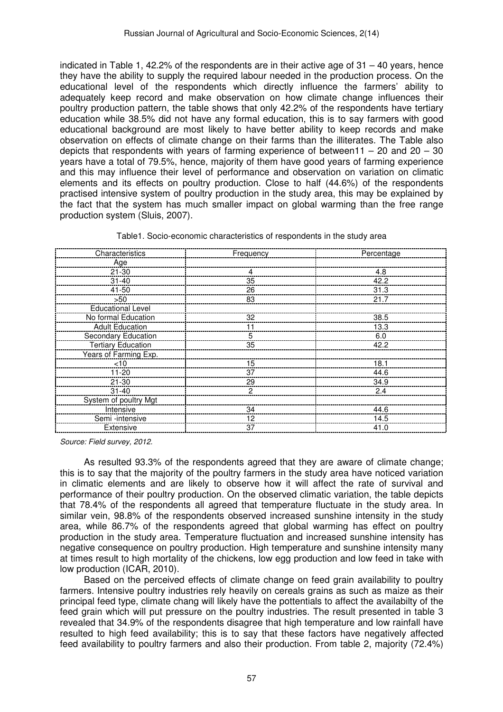indicated in Table 1, 42.2% of the respondents are in their active age of  $31 - 40$  years, hence they have the ability to supply the required labour needed in the production process. On the educational level of the respondents which directly influence the farmers' ability to adequately keep record and make observation on how climate change influences their poultry production pattern, the table shows that only 42.2% of the respondents have tertiary education while 38.5% did not have any formal education, this is to say farmers with good educational background are most likely to have better ability to keep records and make observation on effects of climate change on their farms than the illiterates. The Table also depicts that respondents with years of farming experience of between11 – 20 and  $20 - 30$ years have a total of 79.5%, hence, majority of them have good years of farming experience and this may influence their level of performance and observation on variation on climatic elements and its effects on poultry production. Close to half (44.6%) of the respondents practised intensive system of poultry production in the study area, this may be explained by the fact that the system has much smaller impact on global warming than the free range production system (Sluis, 2007).

| Characteristics           | Frequency | Percentage |
|---------------------------|-----------|------------|
| Age                       |           |            |
| $21 - 30$                 |           | 4.8        |
| $31 - 40$                 | 35        | 42.2       |
| 41-50                     | 26        | 31.3       |
| >50                       | 83        | 21.7       |
| Educational Level         |           |            |
| No formal Education       | 32        | 38.5       |
| <b>Adult Education</b>    |           | 13.3       |
| Secondary Education       | 5         | 6.0        |
| <b>Tertiary Education</b> | 35        | 42.2       |
| Years of Farming Exp.     |           |            |
| $<$ 10                    | 15        | 18.1       |
| $11 - 20$                 | 37        | 44.6       |
| $21 - 30$                 | 29        | 34.9       |
| $31 - 40$                 | 2         | 2.4        |
| System of poultry Mgt     |           |            |
| Intensive                 | 34        | 44.6       |
| Semi -intensive           | 12        | 14.5       |
| Extensive                 | 37        | 41.0       |

Table1. Socio-economic characteristics of respondents in the study area

Source: Field survey, 2012.

As resulted 93.3% of the respondents agreed that they are aware of climate change; this is to say that the majority of the poultry farmers in the study area have noticed variation in climatic elements and are likely to observe how it will affect the rate of survival and performance of their poultry production. On the observed climatic variation, the table depicts that 78.4% of the respondents all agreed that temperature fluctuate in the study area. In similar vein, 98.8% of the respondents observed increased sunshine intensity in the study area, while 86.7% of the respondents agreed that global warming has effect on poultry production in the study area. Temperature fluctuation and increased sunshine intensity has negative consequence on poultry production. High temperature and sunshine intensity many at times result to high mortality of the chickens, low egg production and low feed in take with low production (ICAR, 2010).

Based on the perceived effects of climate change on feed grain availability to poultry farmers. Intensive poultry industries rely heavily on cereals grains as such as maize as their principal feed type, climate chang will likely have the pottentials to affect the availabilty of the feed grain which will put pressure on the poultry industries. The result presented in table 3 revealed that 34.9% of the respondents disagree that high temperature and low rainfall have resulted to high feed availability; this is to say that these factors have negatively affected feed availability to poultry farmers and also their production. From table 2, majority (72.4%)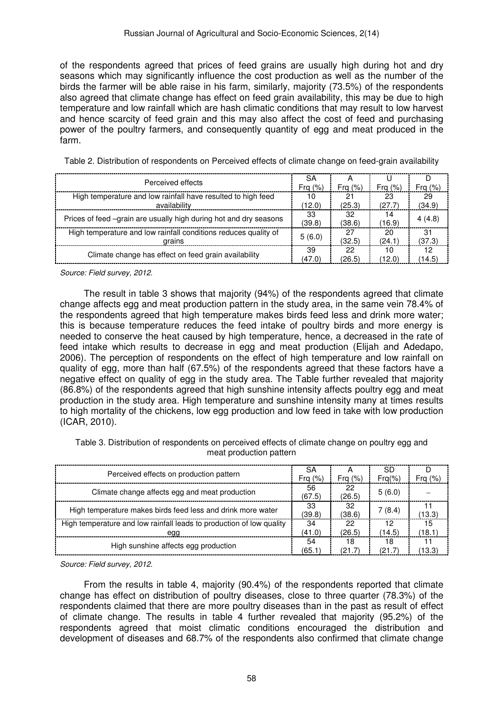of the respondents agreed that prices of feed grains are usually high during hot and dry seasons which may significantly influence the cost production as well as the number of the birds the farmer will be able raise in his farm, similarly, majority (73.5%) of the respondents also agreed that climate change has effect on feed grain availability, this may be due to high temperature and low rainfall which are hash climatic conditions that may result to low harvest and hence scarcity of feed grain and this may also affect the cost of feed and purchasing power of the poultry farmers, and consequently quantity of egg and meat produced in the farm.

| Perceived effects                                                         |        |           |           |           |
|---------------------------------------------------------------------------|--------|-----------|-----------|-----------|
|                                                                           |        | Fra $(%)$ | Fra $(%)$ | Fra $(%)$ |
| High temperature and low rainfall have resulted to high feed              | 10     | 21        | 23        | 29        |
| availability                                                              | (12.0) | (25.3)    | (27.7)    | (34.9)    |
|                                                                           | 33     | 32        | 14        |           |
| Prices of feed –grain are usually high during hot and dry seasons         | (39.8) | (38.6)    | (16.9)    | 4(4.8)    |
| High temperature and low rainfall conditions reduces quality of<br>arains |        | 27        | 20        | 31        |
|                                                                           |        | (32.5)    | (24.1)    | (37.3)    |
|                                                                           | 39     | 22        | 10        |           |
| Climate change has effect on feed grain availability                      |        | (26.5)    | (12.0)    | (14.5)    |

Table 2. Distribution of respondents on Perceived effects of climate change on feed-grain availability

Source: Field survey, 2012.

The result in table 3 shows that majority (94%) of the respondents agreed that climate change affects egg and meat production pattern in the study area, in the same vein 78.4% of the respondents agreed that high temperature makes birds feed less and drink more water; this is because temperature reduces the feed intake of poultry birds and more energy is needed to conserve the heat caused by high temperature, hence, a decreased in the rate of feed intake which results to decrease in egg and meat production (Elijah and Adedapo, 2006). The perception of respondents on the effect of high temperature and low rainfall on quality of egg, more than half (67.5%) of the respondents agreed that these factors have a negative effect on quality of egg in the study area. The Table further revealed that majority (86.8%) of the respondents agreed that high sunshine intensity affects poultry egg and meat production in the study area. High temperature and sunshine intensity many at times results to high mortality of the chickens, low egg production and low feed in take with low production (ICAR, 2010).

Table 3. Distribution of respondents on perceived effects of climate change on poultry egg and meat production pattern

| Perceived effects on production pattern                              |        |           | .SD       |           |
|----------------------------------------------------------------------|--------|-----------|-----------|-----------|
|                                                                      |        | Fra $(%)$ | $Fra(\%)$ | Fra $(%)$ |
| Climate change affects egg and meat production                       |        | 22        | 5(6.0)    |           |
|                                                                      |        | (26.5)    |           |           |
| High temperature makes birds feed less and drink more water          |        | 32        | 7(8.4)    |           |
|                                                                      |        | (38.6)    |           | (13.3)    |
| High temperature and low rainfall leads to production of low quality |        | 22        | 12        | 15        |
| eaa                                                                  | (41.0) | (26.5)    | (14.5)    | (18.1)    |
| High sunshine affects egg production                                 |        | 18        | 18        |           |
|                                                                      |        | (21.7     | (21.7)    | (13.3)    |

Source: Field survey, 2012.

From the results in table 4, majority (90.4%) of the respondents reported that climate change has effect on distribution of poultry diseases, close to three quarter (78.3%) of the respondents claimed that there are more poultry diseases than in the past as result of effect of climate change. The results in table 4 further revealed that majority (95.2%) of the respondents agreed that moist climatic conditions encouraged the distribution and development of diseases and 68.7% of the respondents also confirmed that climate change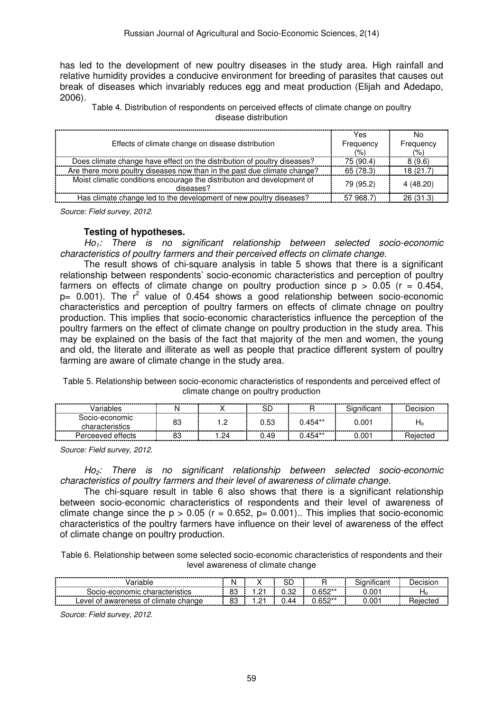has led to the development of new poultry diseases in the study area. High rainfall and relative humidity provides a conducive environment for breeding of parasites that causes out break of diseases which invariably reduces egg and meat production (Elijah and Adedapo, 2006).

Table 4. Distribution of respondents on perceived effects of climate change on poultry disease distribution

| Effects of climate change on disease distribution                                    | Yes<br>Frequency<br>(% ) | No.<br>Frequency<br>(% ) |
|--------------------------------------------------------------------------------------|--------------------------|--------------------------|
| Does climate change have effect on the distribution of poultry diseases?             | 75 (90.4)                | 8(9.6)                   |
| Are there more poultry diseases now than in the past due climate change?             | 65 (78.3)                | 18 (21.7)                |
| Moist climatic conditions encourage the distribution and development of<br>diseases? | 79 (95.2)                | 4 (48.20)                |
| Has climate change led to the development of new poultry diseases?                   | 57 968.7)                | 26(31.3)                 |

Source: Field survey, 2012.

#### **Testing of hypotheses.**

 $Ho_1$ : There is no significant relationship between selected socio-economic characteristics of poultry farmers and their perceived effects on climate change.

The result shows of chi-square analysis in table 5 shows that there is a significant relationship between respondents' socio-economic characteristics and perception of poultry farmers on effects of climate change on poultry production since  $p > 0.05$  ( $r = 0.454$ ,  $p= 0.001$ ). The  $r^2$  value of 0.454 shows a good relationship between socio-economic characteristics and perception of poultry farmers on effects of climate chnage on poultry production. This implies that socio-economic characteristics influence the perception of the poultry farmers on the effect of climate change on poultry production in the study area. This may be explained on the basis of the fact that majority of the men and women, the young and old, the literate and illiterate as well as people that practice different system of poultry farming are aware of climate change in the study area.

Table 5. Relationship between socio-economic characteristics of respondents and perceived effect of climate change on poultry production

| ⊇eriable<br>---<br>--------- | ---------------------- | ---------- | <br>--------- | ----------<br> | .<br>---------------------- | -------------------- |
|------------------------------|------------------------|------------|---------------|----------------|-----------------------------|----------------------|
| 300i0-economic               | 83                     | --         | 0.53          | $0.454**$      | 0.001                       | $\overline{1}$       |
| ettects<br>Perceever         | og                     | .24        | .49           | 0 454**        | 00                          |                      |

Source: Field survey, 2012.

Ho<sub>2</sub>: There is no significant relationship between selected socio-economic characteristics of poultry farmers and their level of awareness of climate change.

The chi-square result in table 6 also shows that there is a significant relationship between socio-economic characteristics of respondents and their level of awareness of climate change since the  $p > 0.05$  (r = 0.652, p= 0.001). This implies that socio-economic characteristics of the poultry farmers have influence on their level of awareness of the effect of climate change on poultry production.

Table 6. Relationship between some selected socio-economic characteristics of respondents and their level awareness of climate change

| <br><br>---------                                               | --------<br>N  |             | ∟د          |                                  | $\cdots$<br>$\sim$          | --------<br>-------- |
|-----------------------------------------------------------------|----------------|-------------|-------------|----------------------------------|-----------------------------|----------------------|
| .ocio-ec<br>nıc<br>'SHG.                                        | 83<br>-------- | . <u>.</u>  | n c<br>∪.∪∠ | $C E^{\prime}$<br><u>J.VUL</u>   | 1.00 <sup>-</sup>           | 10<br>----------<br> |
| <br>evel<br>CIII<br>™es.<br>ີ<br><br>--------<br>.<br>--------- | ΩQ<br>oJ       | $-$<br>---- | .44<br>.    | $CEN**$<br>----<br>------<br>--- | :00<br>--------<br>-------- |                      |

Source: Field survey, 2012.